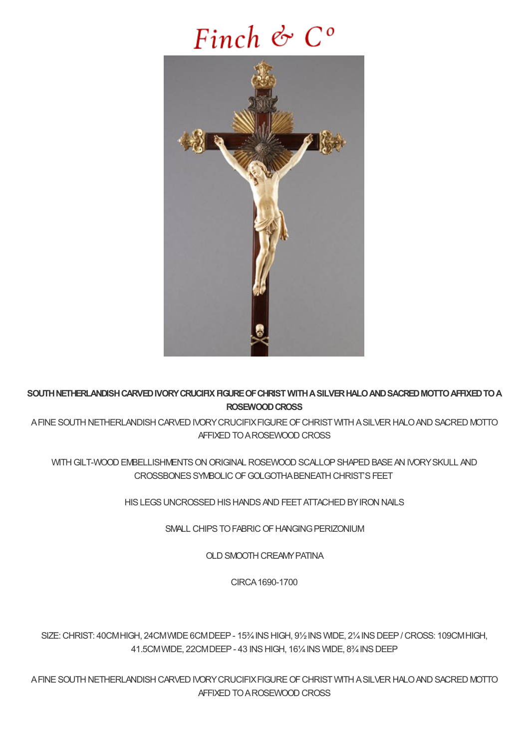# Finch  $\mathfrak{G}$   $C^{\circ}$



SOUTH NETHERLANDISH CARVED IVORY CRUCIFIX FIGURE OF CHRIST WITH A SILVER HALO AND SACRED MOTTO AFFIXED TO A **ROSEWOODCROSS**

A FINE SOUTH NETHERLANDISH CARVED IVORY CRUCIFIX FIGURE OF CHRIST WITH A SILVER HALO AND SACRED MOTTO AFFIXED TO A ROSEWOOD CROSS

WITH GILT-WOOD EMBELLISHMENTS ON ORIGINAL ROSEWOOD SCALLOP SHAPED BASE AN IVORY SKULL AND CROSSBONES SYMBOLIC OF GOLGOTHA BENEATH CHRIST'S FEET

HIS LEGS UNCROSSED HIS HANDS AND FEET ATTACHED BY IRON NAILS

SMALL CHIPS TO FABRIC OF HANGING PERIZONIUM

OLD SMOOTH CREAMY PATINA

CIRCA1690-1700

SIZE:CHRIST: 40CMHIGH, 24CMWIDE6CMDEEP- 15¾INSHIGH, 9½INS WIDE, 2¼INSDEEP/CROSS: 109CMHIGH, 41.5CMWIDE, 22CMDEEP - 43 INS HIGH, 161/4 INS WIDE, 83/4 INS DEEP

A FINE SOUTH NETHERLANDISH CARVED IVORY CRUCIFIX FIGURE OF CHRIST WITH A SILVER HALO AND SACRED MOTTO AFFIXED TO A ROSEWOOD CROSS